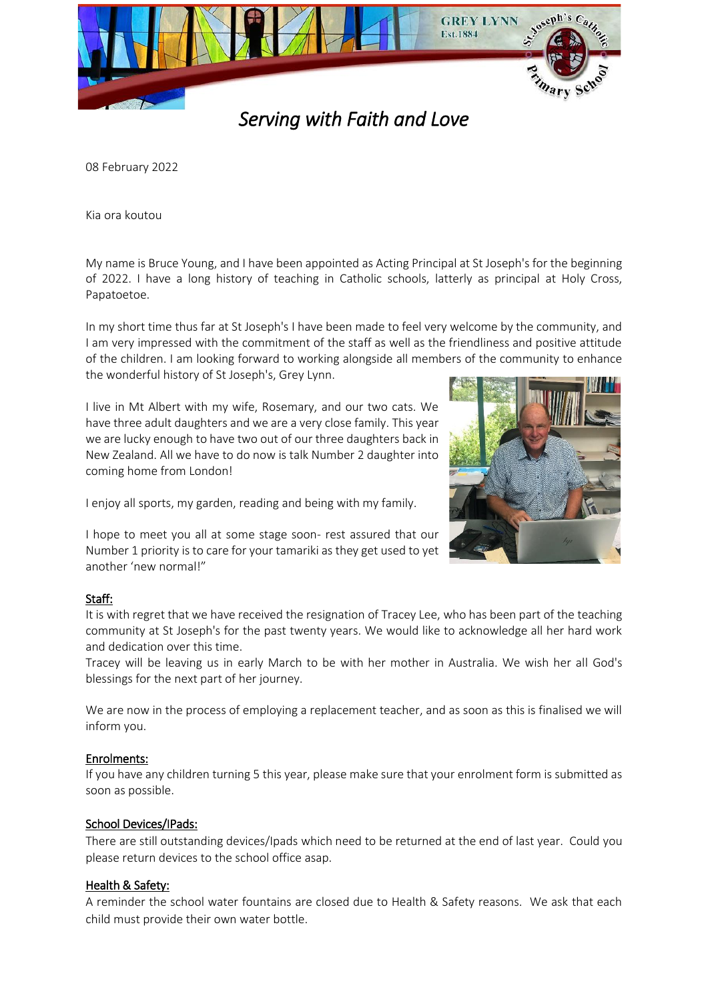

*Serving with Faith and Love* 

08 February 2022

Kia ora koutou

My name is Bruce Young, and I have been appointed as Acting Principal at St Joseph's for the beginning of 2022. I have a long history of teaching in Catholic schools, latterly as principal at Holy Cross, Papatoetoe.

In my short time thus far at St Joseph's I have been made to feel very welcome by the community, and I am very impressed with the commitment of the staff as well as the friendliness and positive attitude of the children. I am looking forward to working alongside all members of the community to enhance the wonderful history of St Joseph's, Grey Lynn.

I live in Mt Albert with my wife, Rosemary, and our two cats. We have three adult daughters and we are a very close family. This year we are lucky enough to have two out of our three daughters back in New Zealand. All we have to do now is talk Number 2 daughter into coming home from London!

I enjoy all sports, my garden, reading and being with my family.

I hope to meet you all at some stage soon- rest assured that our Number 1 priority is to care for your tamariki as they get used to yet another 'new normal!"

## Staff:

It is with regret that we have received the resignation of Tracey Lee, who has been part of the teaching community at St Joseph's for the past twenty years. We would like to acknowledge all her hard work and dedication over this time.

Tracey will be leaving us in early March to be with her mother in Australia. We wish her all God's blessings for the next part of her journey.

We are now in the process of employing a replacement teacher, and as soon as this is finalised we will inform you.

## Enrolments:

If you have any children turning 5 this year, please make sure that your enrolment form is submitted as soon as possible.

## School Devices/IPads:

There are still outstanding devices/Ipads which need to be returned at the end of last year. Could you please return devices to the school office asap.

## Health & Safety:

A reminder the school water fountains are closed due to Health & Safety reasons. We ask that each child must provide their own water bottle.